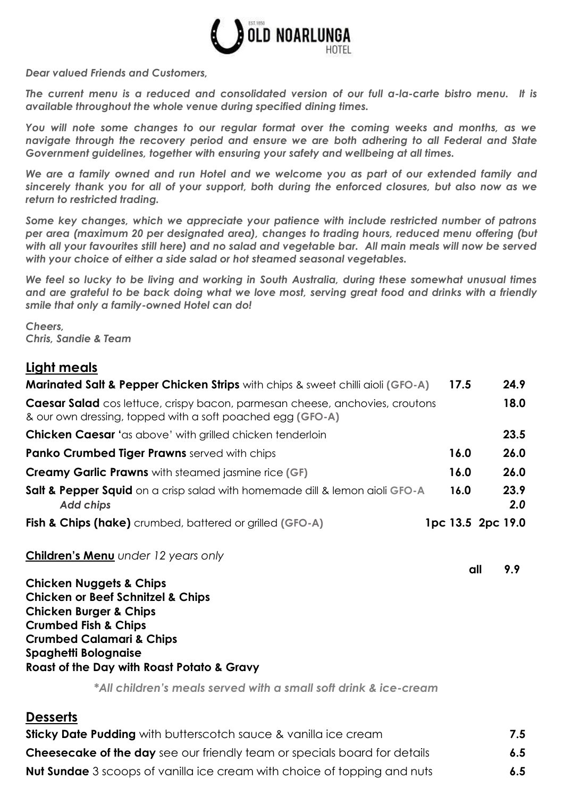

*Dear valued Friends and Customers,*

*The current menu is a reduced and consolidated version of our full a-la-carte bistro menu. It is available throughout the whole venue during specified dining times.* 

*You will note some changes to our regular format over the coming weeks and months, as we navigate through the recovery period and ensure we are both adhering to all Federal and State Government guidelines, together with ensuring your safety and wellbeing at all times.*

*We are a family owned and run Hotel and we welcome you as part of our extended family and sincerely thank you for all of your support, both during the enforced closures, but also now as we return to restricted trading.*

*Some key changes, which we appreciate your patience with include restricted number of patrons per area (maximum 20 per designated area), changes to trading hours, reduced menu offering (but*  with all your favourites still here) and no salad and vegetable bar. All main meals will now be served *with your choice of either a side salad or hot steamed seasonal vegetables.*

*We feel so lucky to be living and working in South Australia, during these somewhat unusual times and are grateful to be back doing what we love most, serving great food and drinks with a friendly smile that only a family-owned Hotel can do!*

*Cheers, Chris, Sandie & Team*

#### **Light meals**

| <b>Marinated Salt &amp; Pepper Chicken Strips</b> with chips & sweet chilli aioli (GFO-A)                                                         | 17.5 | 24.9              |
|---------------------------------------------------------------------------------------------------------------------------------------------------|------|-------------------|
| <b>Caesar Salad</b> cos lettuce, crispy bacon, parmesan cheese, anchovies, croutons<br>& our own dressing, topped with a soft poached egg (GFO-A) |      | 18.0              |
| <b>Chicken Caesar</b> 'as above' with grilled chicken tenderloin                                                                                  |      | 23.5              |
| <b>Panko Crumbed Tiger Prawns</b> served with chips                                                                                               | 16.0 | 26.0              |
| <b>Creamy Garlic Prawns</b> with steamed jasmine rice (GF)                                                                                        | 16.0 | 26.0              |
| <b>Salt &amp; Pepper Squid</b> on a crisp salad with homemade dill & lemon aioli GFO-A<br><b>Add chips</b>                                        | 16.0 | 23.9<br>2.0       |
| Fish & Chips (hake) crumbed, battered or grilled (GFO-A)                                                                                          |      | 1pc 13.5 2pc 19.0 |

**all 9.9**

**Children's Menu** *under 12 years only*

**Chicken Nuggets & Chips Chicken or Beef Schnitzel & Chips Chicken Burger & Chips Crumbed Fish & Chips Crumbed Calamari & Chips Spaghetti Bolognaise Roast of the Day with Roast Potato & Gravy**

*\*All children's meals served with a small soft drink & ice-cream*

#### **Desserts**

| <b>Sticky Date Pudding</b> with butterscotch sauce & vanilla ice cream           | 7.5 |
|----------------------------------------------------------------------------------|-----|
| <b>Cheesecake of the day</b> see our friendly team or specials board for details | 6.5 |
| <b>Nut Sundae</b> 3 scoops of vanilla ice cream with choice of topping and nuts  | 6.5 |